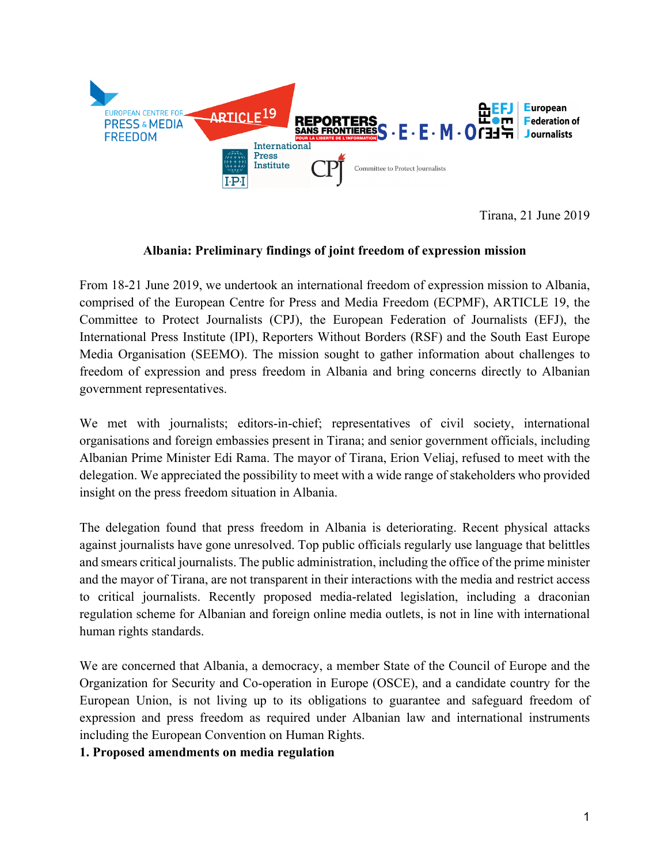

Tirana, 21 June 2019

## **Albania: Preliminary findings of joint freedom of expression mission**

From 18-21 June 2019, we undertook an international freedom of expression mission to Albania, comprised of the European Centre for Press and Media Freedom (ECPMF), ARTICLE 19, the Committee to Protect Journalists (CPJ), the European Federation of Journalists (EFJ), the International Press Institute (IPI), Reporters Without Borders (RSF) and the South East Europe Media Organisation (SEEMO). The mission sought to gather information about challenges to freedom of expression and press freedom in Albania and bring concerns directly to Albanian government representatives.

We met with journalists; editors-in-chief; representatives of civil society, international organisations and foreign embassies present in Tirana; and senior government officials, including Albanian Prime Minister Edi Rama. The mayor of Tirana, Erion Veliaj, refused to meet with the delegation. We appreciated the possibility to meet with a wide range of stakeholders who provided insight on the press freedom situation in Albania.

The delegation found that press freedom in Albania is deteriorating. Recent physical attacks against journalists have gone unresolved. Top public officials regularly use language that belittles and smears critical journalists. The public administration, including the office of the prime minister and the mayor of Tirana, are not transparent in their interactions with the media and restrict access to critical journalists. Recently proposed media-related legislation, including a draconian regulation scheme for Albanian and foreign online media outlets, is not in line with international human rights standards.

We are concerned that Albania, a democracy, a member State of the Council of Europe and the Organization for Security and Co-operation in Europe (OSCE), and a candidate country for the European Union, is not living up to its obligations to guarantee and safeguard freedom of expression and press freedom as required under Albanian law and international instruments including the European Convention on Human Rights.

## **1. Proposed amendments on media regulation**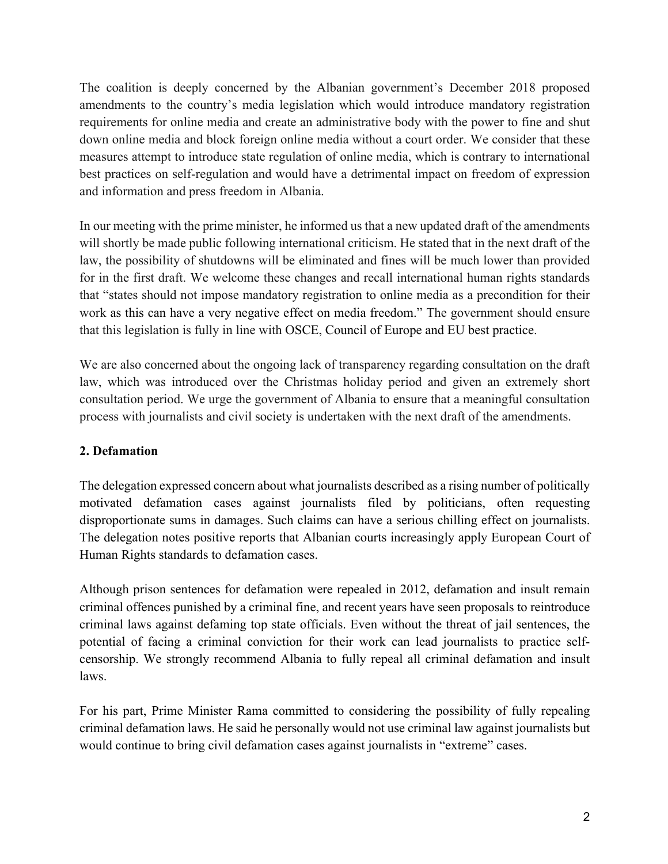The coalition is deeply concerned by the Albanian government's December 2018 proposed amendments to the country's media legislation which would introduce mandatory registration requirements for online media and create an administrative body with the power to fine and shut down online media and block foreign online media without a court order. We consider that these measures attempt to introduce state regulation of online media, which is contrary to international best practices on self-regulation and would have a detrimental impact on freedom of expression and information and press freedom in Albania.

In our meeting with the prime minister, he informed us that a new updated draft of the amendments will shortly be made public following international criticism. He stated that in the next draft of the law, the possibility of shutdowns will be eliminated and fines will be much lower than provided for in the first draft. We welcome these changes and recall international human rights standards that "states should not impose mandatory registration to online media as a precondition for their work as this can have a very negative effect on media freedom." The government should ensure that this legislation is fully in line with OSCE, Council of Europe and EU best practice.

We are also concerned about the ongoing lack of transparency regarding consultation on the draft law, which was introduced over the Christmas holiday period and given an extremely short consultation period. We urge the government of Albania to ensure that a meaningful consultation process with journalists and civil society is undertaken with the next draft of the amendments.

# **2. Defamation**

The delegation expressed concern about what journalists described as a rising number of politically motivated defamation cases against journalists filed by politicians, often requesting disproportionate sums in damages. Such claims can have a serious chilling effect on journalists. The delegation notes positive reports that Albanian courts increasingly apply European Court of Human Rights standards to defamation cases.

Although prison sentences for defamation were repealed in 2012, defamation and insult remain criminal offences punished by a criminal fine, and recent years have seen proposals to reintroduce criminal laws against defaming top state officials. Even without the threat of jail sentences, the potential of facing a criminal conviction for their work can lead journalists to practice selfcensorship. We strongly recommend Albania to fully repeal all criminal defamation and insult laws.

For his part, Prime Minister Rama committed to considering the possibility of fully repealing criminal defamation laws. He said he personally would not use criminal law against journalists but would continue to bring civil defamation cases against journalists in "extreme" cases.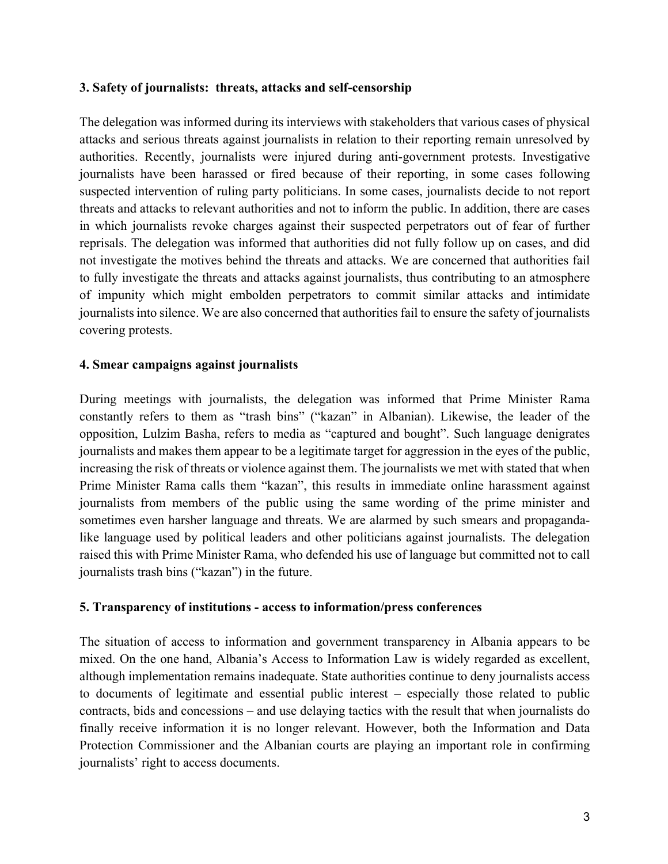### **3. Safety of journalists: threats, attacks and self-censorship**

The delegation was informed during its interviews with stakeholders that various cases of physical attacks and serious threats against journalists in relation to their reporting remain unresolved by authorities. Recently, journalists were injured during anti-government protests. Investigative journalists have been harassed or fired because of their reporting, in some cases following suspected intervention of ruling party politicians. In some cases, journalists decide to not report threats and attacks to relevant authorities and not to inform the public. In addition, there are cases in which journalists revoke charges against their suspected perpetrators out of fear of further reprisals. The delegation was informed that authorities did not fully follow up on cases, and did not investigate the motives behind the threats and attacks. We are concerned that authorities fail to fully investigate the threats and attacks against journalists, thus contributing to an atmosphere of impunity which might embolden perpetrators to commit similar attacks and intimidate journalists into silence. We are also concerned that authorities fail to ensure the safety of journalists covering protests.

### **4. Smear campaigns against journalists**

During meetings with journalists, the delegation was informed that Prime Minister Rama constantly refers to them as "trash bins" ("kazan" in Albanian). Likewise, the leader of the opposition, Lulzim Basha, refers to media as "captured and bought". Such language denigrates journalists and makes them appear to be a legitimate target for aggression in the eyes of the public, increasing the risk of threats or violence against them. The journalists we met with stated that when Prime Minister Rama calls them "kazan", this results in immediate online harassment against journalists from members of the public using the same wording of the prime minister and sometimes even harsher language and threats. We are alarmed by such smears and propagandalike language used by political leaders and other politicians against journalists. The delegation raised this with Prime Minister Rama, who defended his use of language but committed not to call journalists trash bins ("kazan") in the future.

#### **5. Transparency of institutions - access to information/press conferences**

The situation of access to information and government transparency in Albania appears to be mixed. On the one hand, Albania's Access to Information Law is widely regarded as excellent, although implementation remains inadequate. State authorities continue to deny journalists access to documents of legitimate and essential public interest – especially those related to public contracts, bids and concessions – and use delaying tactics with the result that when journalists do finally receive information it is no longer relevant. However, both the Information and Data Protection Commissioner and the Albanian courts are playing an important role in confirming journalists' right to access documents.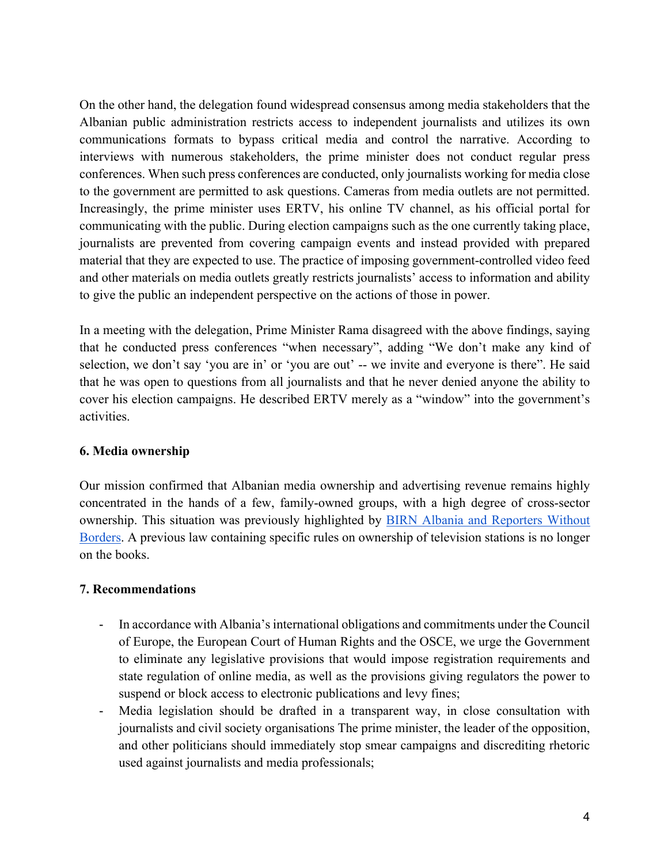On the other hand, the delegation found widespread consensus among media stakeholders that the Albanian public administration restricts access to independent journalists and utilizes its own communications formats to bypass critical media and control the narrative. According to interviews with numerous stakeholders, the prime minister does not conduct regular press conferences. When such press conferences are conducted, only journalists working for media close to the government are permitted to ask questions. Cameras from media outlets are not permitted. Increasingly, the prime minister uses ERTV, his online TV channel, as his official portal for communicating with the public. During election campaigns such as the one currently taking place, journalists are prevented from covering campaign events and instead provided with prepared material that they are expected to use. The practice of imposing government-controlled video feed and other materials on media outlets greatly restricts journalists' access to information and ability to give the public an independent perspective on the actions of those in power.

In a meeting with the delegation, Prime Minister Rama disagreed with the above findings, saying that he conducted press conferences "when necessary", adding "We don't make any kind of selection, we don't say 'you are in' or 'you are out' -- we invite and everyone is there". He said that he was open to questions from all journalists and that he never denied anyone the ability to cover his election campaigns. He described ERTV merely as a "window" into the government's activities.

## **6. Media ownership**

Our mission confirmed that Albanian media ownership and advertising revenue remains highly concentrated in the hands of a few, family-owned groups, with a high degree of cross-sector ownership. This situation was previously highlighted by BIRN Albania and Reporters Without Borders. A previous law containing specific rules on ownership of television stations is no longer on the books.

#### **7. Recommendations**

- In accordance with Albania's international obligations and commitments under the Council of Europe, the European Court of Human Rights and the OSCE, we urge the Government to eliminate any legislative provisions that would impose registration requirements and state regulation of online media, as well as the provisions giving regulators the power to suspend or block access to electronic publications and levy fines;
- Media legislation should be drafted in a transparent way, in close consultation with journalists and civil society organisations The prime minister, the leader of the opposition, and other politicians should immediately stop smear campaigns and discrediting rhetoric used against journalists and media professionals;